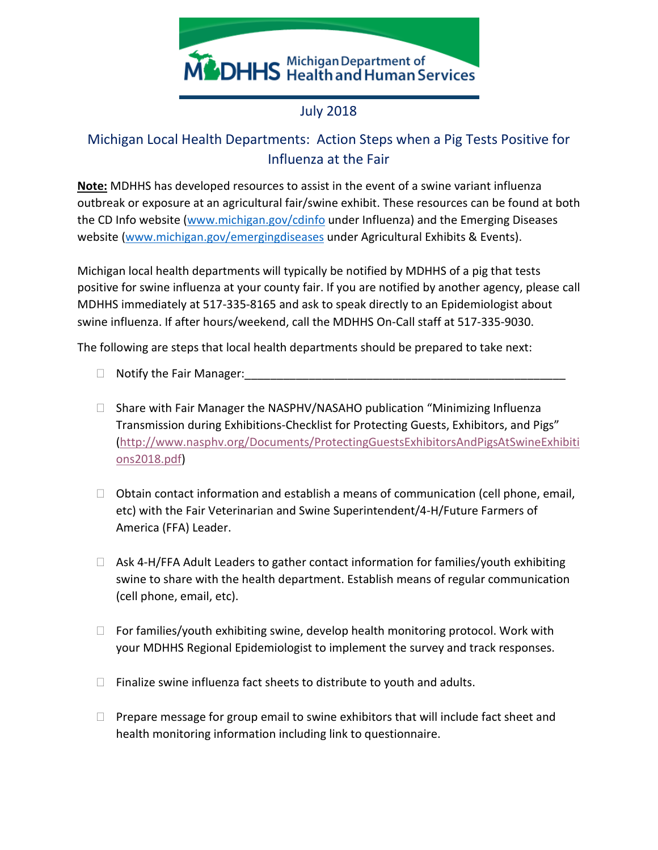

## July 2018

## Michigan Local Health Departments: Action Steps when a Pig Tests Positive for Influenza at the Fair

**Note:** MDHHS has developed resources to assist in the event of a swine variant influenza outbreak or exposure at an agricultural fair/swine exhibit. These resources can be found at both the CD Info website [\(www.michigan.gov/cdinfo](http://www.michigan.gov/cdinfo) under Influenza) and the Emerging Diseases website [\(www.michigan.gov/emergingdiseases](http://www.michigan.gov/emergingdiseases) under Agricultural Exhibits & Events).

Michigan local health departments will typically be notified by MDHHS of a pig that tests positive for swine influenza at your county fair. If you are notified by another agency, please call MDHHS immediately at 517-335-8165 and ask to speak directly to an Epidemiologist about swine influenza. If after hours/weekend, call the MDHHS On-Call staff at 517-335-9030.

The following are steps that local health departments should be prepared to take next:

- $\Box$  Notify the Fair Manager:
- $\Box$  Share with Fair Manager the NASPHV/NASAHO publication "Minimizing Influenza Transmission during Exhibitions-Checklist for Protecting Guests, Exhibitors, and Pigs" [\(http://www.nasphv.org/Documents/ProtectingGuestsExhibitorsAndPigsAtSwineExhibiti](http://www.nasphv.org/Documents/ProtectingGuestsExhibitorsAndPigsAtSwineExhibitions2018.pdf) [ons2018.pdf\)](http://www.nasphv.org/Documents/ProtectingGuestsExhibitorsAndPigsAtSwineExhibitions2018.pdf)
- $\Box$  Obtain contact information and establish a means of communication (cell phone, email, etc) with the Fair Veterinarian and Swine Superintendent/4-H/Future Farmers of America (FFA) Leader.
- $\Box$  Ask 4-H/FFA Adult Leaders to gather contact information for families/youth exhibiting swine to share with the health department. Establish means of regular communication (cell phone, email, etc).
- $\Box$  For families/youth exhibiting swine, develop health monitoring protocol. Work with your MDHHS Regional Epidemiologist to implement the survey and track responses.
- $\Box$  Finalize swine influenza fact sheets to distribute to youth and adults.
- $\Box$  Prepare message for group email to swine exhibitors that will include fact sheet and health monitoring information including link to questionnaire.